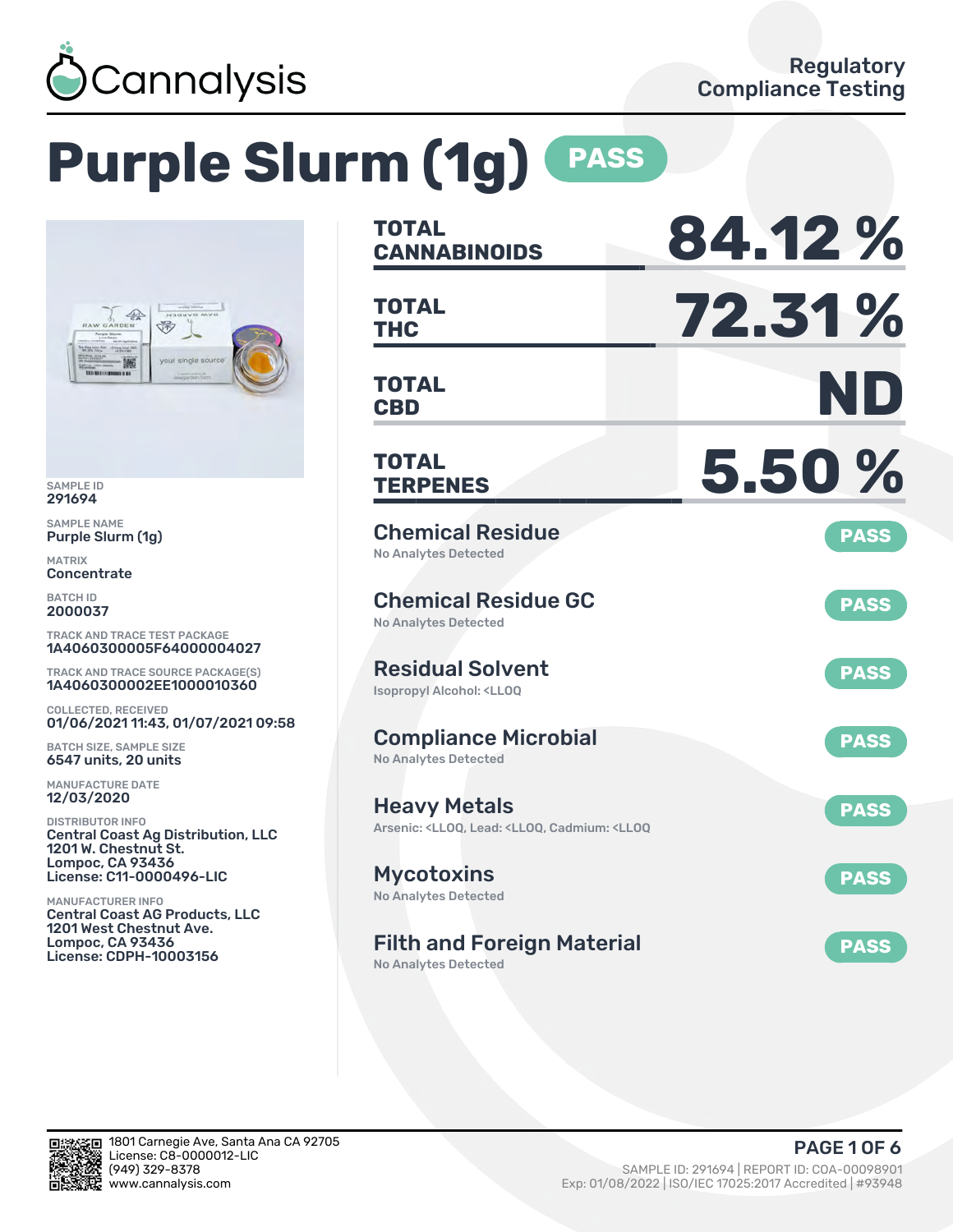

# **Purple Slurm (1g) PASS**



SAMPLE ID 291694

SAMPLE NAME Purple Slurm (1g)

MATRIX Concentrate

BATCH ID 2000037

TRACK AND TRACE TEST PACKAGE 1A4060300005F64000004027

TRACK AND TRACE SOURCE PACKAGE(S) 1A4060300002EE1000010360

COLLECTED, RECEIVED 01/06/2021 11:43, 01/07/2021 09:58

BATCH SIZE, SAMPLE SIZE 6547 units, 20 units

MANUFACTURE DATE 12/03/2020

DISTRIBUTOR INFO Central Coast Ag Distribution, LLC 1201 W. Chestnut St. Lompoc, CA 93436 License: C11-0000496-LIC

MANUFACTURER INFO Central Coast AG Products, LLC 1201 West Chestnut Ave. Lompoc, CA 93436 License: CDPH-10003156

| <b>TOTAL</b><br><b>CANNABINOIDS</b>                                                                                | 84.12%      |
|--------------------------------------------------------------------------------------------------------------------|-------------|
| <b>TOTAL</b><br><b>THC</b>                                                                                         | 72.31%      |
| <b>TOTAL</b><br><b>CBD</b>                                                                                         | ND          |
| TOTAL<br><b>TERPENES</b>                                                                                           | 5.50%       |
| <b>Chemical Residue</b><br><b>No Analytes Detected</b>                                                             | <b>PASS</b> |
| <b>Chemical Residue GC</b><br><b>No Analytes Detected</b>                                                          | <b>PASS</b> |
| <b>Residual Solvent</b><br><b>Isopropyl Alcohol: <lloq< b=""></lloq<></b>                                          | <b>PASS</b> |
| <b>Compliance Microbial</b><br><b>No Analytes Detected</b>                                                         | <b>PASS</b> |
| <b>Heavy Metals</b><br>Arsenic: <lloq, <lloq,="" <lloq<="" cadmium:="" lead:="" td=""><td><b>PASS</b></td></lloq,> | <b>PASS</b> |
| <b>Mycotoxins</b><br>No Analytes Detected                                                                          | <b>PASS</b> |
| <b>Filth and Foreign Material</b>                                                                                  | <b>PASS</b> |

No Analytes Detected

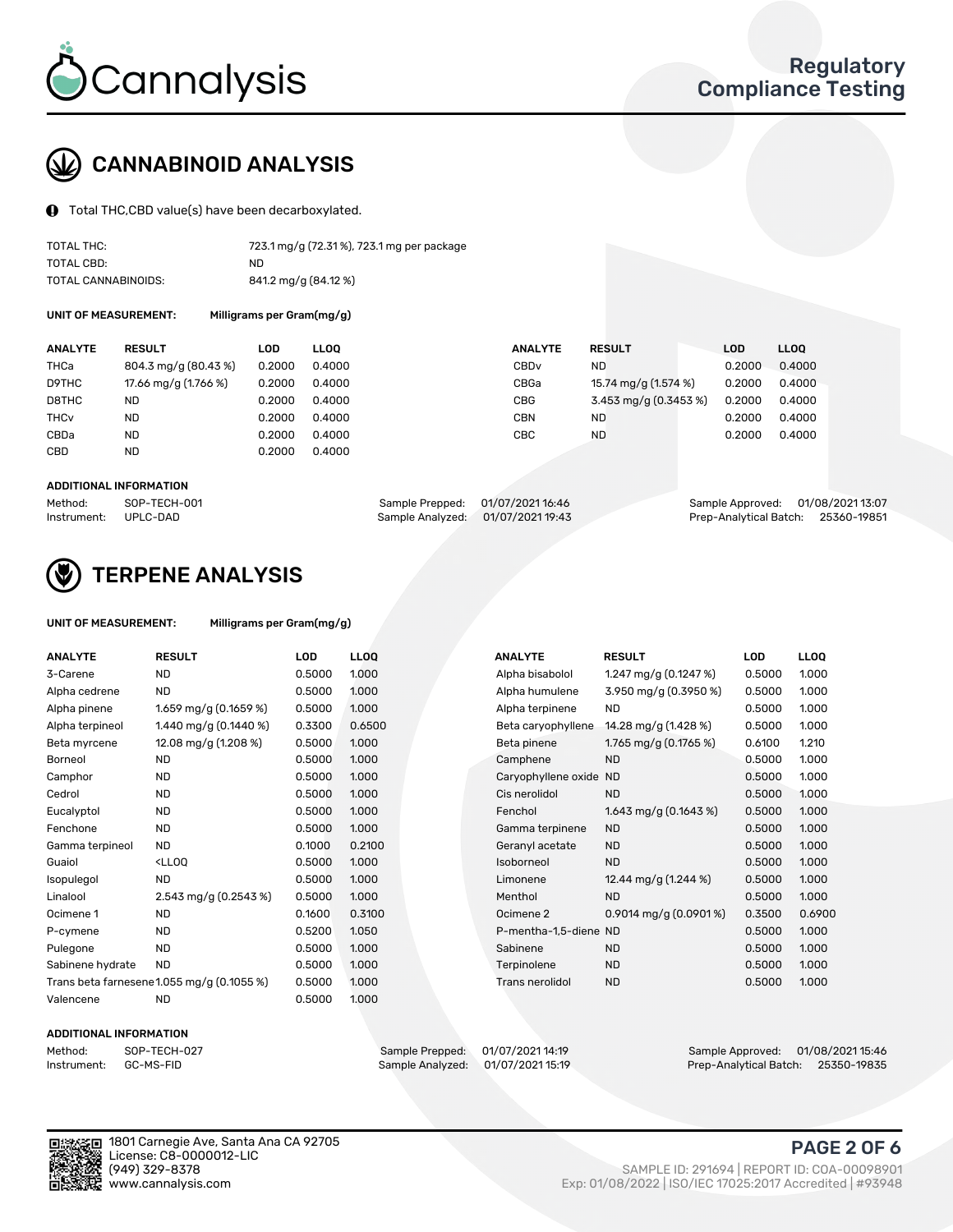

## CANNABINOID ANALYSIS

Total THC,CBD value(s) have been decarboxylated.

| TOTAL THC:          | 723.1 mg/g (72.31%), 723.1 mg per package |
|---------------------|-------------------------------------------|
| TOTAL CBD:          | ND.                                       |
| TOTAL CANNABINOIDS: | 841.2 mg/g (84.12 %)                      |

UNIT OF MEASUREMENT: Milligrams per Gram(mg/g)

| <b>ANALYTE</b>         | <b>RESULT</b>        | LOD    | <b>LLOO</b> | <b>ANALYTE</b>   | <b>RESULT</b>         | <b>LOD</b> | LL <sub>00</sub> |
|------------------------|----------------------|--------|-------------|------------------|-----------------------|------------|------------------|
| <b>THCa</b>            | 804.3 mg/g (80.43 %) | 0.2000 | 0.4000      | CBD <sub>v</sub> | ND.                   | 0.2000     | 0.4000           |
| D9THC                  | 17.66 mg/g (1.766 %) | 0.2000 | 0.4000      | CBGa             | 15.74 mg/g (1.574 %)  | 0.2000     | 0.4000           |
| D8THC                  | <b>ND</b>            | 0.2000 | 0.4000      | CBG              | 3.453 mg/g (0.3453 %) | 0.2000     | 0.4000           |
| <b>THC<sub>V</sub></b> | <b>ND</b>            | 0.2000 | 0.4000      | CBN              | <b>ND</b>             | 0.2000     | 0.4000           |
| CBDa                   | <b>ND</b>            | 0.2000 | 0.4000      | CBC              | <b>ND</b>             | 0.2000     | 0.4000           |
| CBD                    | <b>ND</b>            | 0.2000 | 0.4000      |                  |                       |            |                  |
|                        |                      |        |             |                  |                       |            |                  |

#### ADDITIONAL INFORMATION

| Method:              | SOP-TECH-001 | Sample Prepped: 01/07/2021 16:46  | Sample Approved: 01/08/2021 13:07  |  |
|----------------------|--------------|-----------------------------------|------------------------------------|--|
| Instrument: UPLC-DAD |              | Sample Analyzed: 01/07/2021 19:43 | Prep-Analytical Batch: 25360-19851 |  |



## TERPENE ANALYSIS

| UNIT OF MEASUREMENT: | Milligrams per Gram(mg/g) |
|----------------------|---------------------------|
|                      |                           |

| <b>ANALYTE</b>   | <b>RESULT</b>                                                                                                        | <b>LOD</b> | <b>LLOQ</b> | <b>ANALYTE</b>         | <b>RESULT</b>            | <b>LOD</b> | <b>LLOQ</b> |
|------------------|----------------------------------------------------------------------------------------------------------------------|------------|-------------|------------------------|--------------------------|------------|-------------|
| 3-Carene         | <b>ND</b>                                                                                                            | 0.5000     | 1.000       | Alpha bisabolol        | 1.247 mg/g $(0.1247%)$   | 0.5000     | 1.000       |
| Alpha cedrene    | <b>ND</b>                                                                                                            | 0.5000     | 1.000       | Alpha humulene         | 3.950 mg/g (0.3950 %)    | 0.5000     | 1.000       |
| Alpha pinene     | 1.659 mg/g $(0.1659\%)$                                                                                              | 0.5000     | 1.000       | Alpha terpinene        | <b>ND</b>                | 0.5000     | 1.000       |
| Alpha terpineol  | 1.440 mg/g $(0.1440 \%)$                                                                                             | 0.3300     | 0.6500      | Beta caryophyllene     | 14.28 mg/g (1.428 %)     | 0.5000     | 1.000       |
| Beta myrcene     | 12.08 mg/g (1.208 %)                                                                                                 | 0.5000     | 1.000       | Beta pinene            | 1.765 mg/g (0.1765 %)    | 0.6100     | 1.210       |
| Borneol          | <b>ND</b>                                                                                                            | 0.5000     | 1.000       | Camphene               | <b>ND</b>                | 0.5000     | 1.000       |
| Camphor          | <b>ND</b>                                                                                                            | 0.5000     | 1.000       | Caryophyllene oxide ND |                          | 0.5000     | 1.000       |
| Cedrol           | <b>ND</b>                                                                                                            | 0.5000     | 1.000       | Cis nerolidol          | <b>ND</b>                | 0.5000     | 1.000       |
| Eucalyptol       | <b>ND</b>                                                                                                            | 0.5000     | 1.000       | Fenchol                | 1.643 mg/g $(0.1643\%)$  | 0.5000     | 1.000       |
| Fenchone         | <b>ND</b>                                                                                                            | 0.5000     | 1.000       | Gamma terpinene        | <b>ND</b>                | 0.5000     | 1.000       |
| Gamma terpineol  | <b>ND</b>                                                                                                            | 0.1000     | 0.2100      | Geranyl acetate        | <b>ND</b>                | 0.5000     | 1.000       |
| Guaiol           | <lloq< td=""><td>0.5000</td><td>1.000</td><td>Isoborneol</td><td><b>ND</b></td><td>0.5000</td><td>1.000</td></lloq<> | 0.5000     | 1.000       | Isoborneol             | <b>ND</b>                | 0.5000     | 1.000       |
| Isopulegol       | <b>ND</b>                                                                                                            | 0.5000     | 1.000       | Limonene               | 12.44 mg/g (1.244 %)     | 0.5000     | 1.000       |
| Linalool         | 2.543 mg/g (0.2543 %)                                                                                                | 0.5000     | 1.000       | Menthol                | <b>ND</b>                | 0.5000     | 1.000       |
| Ocimene 1        | <b>ND</b>                                                                                                            | 0.1600     | 0.3100      | Ocimene 2              | 0.9014 mg/g $(0.0901\%)$ | 0.3500     | 0.6900      |
| P-cymene         | <b>ND</b>                                                                                                            | 0.5200     | 1.050       | P-mentha-1,5-diene ND  |                          | 0.5000     | 1.000       |
| Pulegone         | <b>ND</b>                                                                                                            | 0.5000     | 1.000       | Sabinene               | <b>ND</b>                | 0.5000     | 1.000       |
| Sabinene hydrate | <b>ND</b>                                                                                                            | 0.5000     | 1.000       | Terpinolene            | <b>ND</b>                | 0.5000     | 1.000       |
|                  | Trans beta farnesene1.055 mg/g (0.1055 %)                                                                            | 0.5000     | 1.000       | <b>Trans nerolidol</b> | <b>ND</b>                | 0.5000     | 1.000       |
| Valencene        | <b>ND</b>                                                                                                            | 0.5000     | 1.000       |                        |                          |            |             |

#### ADDITIONAL INFORMATION

| Method:     | SOP-TECH  |
|-------------|-----------|
| Instrument: | GC-MS-FII |

Method: SOP-TECH-027 Sample Prepped: 01/07/2021 14:19 Sample Approved: 01/08/2021 15:46 Prep-Analytical Batch: 25350-19835

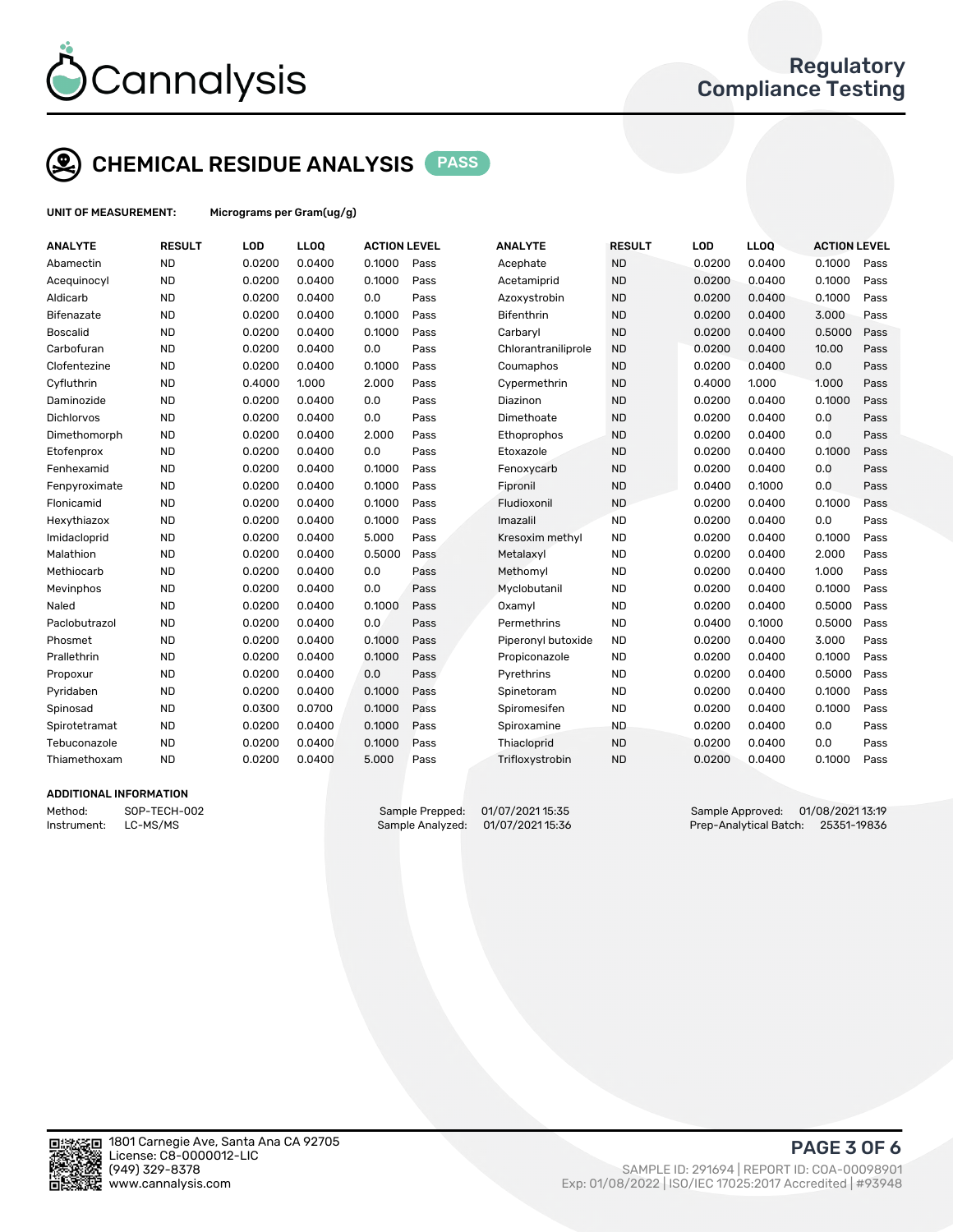

# CHEMICAL RESIDUE ANALYSIS PASS

UNIT OF MEASUREMENT: Micrograms per Gram(ug/g)

| <b>ND</b><br>0.0200<br>0.0400<br>0.1000<br>Pass<br><b>ND</b><br>0.0200<br>0.0400<br>0.1000<br>Acephate<br>Abamectin<br><b>ND</b><br><b>ND</b><br>0.0200<br>0.0400<br>0.1000<br>0.0200<br>0.0400<br>0.1000<br>Acequinocyl<br>Pass<br>Acetamiprid<br><b>ND</b><br>0.0200<br>0.0<br><b>ND</b><br>0.0400<br>0.1000<br>Aldicarb<br>0.0400<br>Pass<br>Azoxystrobin<br>0.0200<br><b>ND</b><br>0.0200<br>0.1000<br><b>ND</b><br>0.0400<br>3.000<br>0.0400<br>Pass<br><b>Bifenthrin</b><br>0.0200<br>Bifenazate<br><b>Boscalid</b><br><b>ND</b><br>0.0200<br>0.1000<br><b>ND</b><br>0.5000<br>0.0400<br>Pass<br>Carbaryl<br>0.0200<br>0.0400<br><b>ND</b><br>0.0200<br>0.0<br><b>ND</b><br>10.00<br>Carbofuran<br>0.0400<br>Pass<br>0.0200<br>0.0400<br>Chlorantraniliprole<br><b>ND</b><br>0.0200<br>0.1000<br><b>ND</b><br>0.0200<br>0.0400<br>0.0<br>Clofentezine<br>0.0400<br>Pass<br>Coumaphos<br>Cyfluthrin<br><b>ND</b><br>0.4000<br><b>ND</b><br>1.000<br>1.000<br>1.000<br>2.000<br>Pass<br>Cypermethrin<br>0.4000<br><b>ND</b><br>0.0200<br>0.0<br><b>ND</b><br>0.0400<br>0.1000<br>Daminozide<br>0.0400<br>Pass<br>0.0200<br>Diazinon<br><b>ND</b><br>0.0200<br>0.0<br><b>ND</b><br>0.0400<br><b>Dichlorvos</b><br>0.0400<br>Pass<br>Dimethoate<br>0.0200<br>0.0<br><b>ND</b><br>0.0200<br>0.0400<br><b>ND</b><br>0.0<br>Dimethomorph<br>2.000<br>Pass<br>Ethoprophos<br>0.0200<br>0.0400<br><b>ND</b><br>0.0200<br>0.0<br><b>ND</b><br>0.1000<br>0.0400<br>Pass<br>Etoxazole<br>0.0200<br>0.0400<br>Etofenprox<br><b>ND</b><br>0.0200<br>0.1000<br><b>ND</b><br>0.0200<br>0.0400<br>0.0<br>Fenhexamid<br>0.0400<br>Pass<br>Fenoxycarb<br><b>ND</b><br>0.0200<br>0.1000<br><b>ND</b><br>0.0400<br>0.0<br>Fenpyroximate<br>0.0400<br>Pass<br>Fipronil<br>0.1000<br><b>ND</b><br>0.0200<br>0.1000<br><b>ND</b><br>0.1000<br>Flonicamid<br>0.0400<br>Pass<br>Fludioxonil<br>0.0200<br>0.0400<br><b>ND</b><br>0.0200<br>0.1000<br><b>ND</b><br>0.0200<br>0.0400<br>0.0<br>Hexythiazox<br>0.0400<br>Pass<br>Imazalil<br><b>ND</b><br>0.0200<br>0.0400<br>5.000<br><b>ND</b><br>Imidacloprid<br>Pass<br>Kresoxim methyl<br>0.0200<br>0.0400<br>0.1000<br><b>ND</b><br>0.0200<br>0.5000<br><b>ND</b><br>0.0400<br>2.000<br>Malathion<br>0.0400<br>Pass<br>Metalaxyl<br>0.0200<br><b>ND</b><br>0.0200<br>0.0<br><b>ND</b><br>0.0200<br>0.0400<br>1.000<br>Methiocarb<br>0.0400<br>Pass<br>Methomyl<br><b>ND</b><br>0.0200<br>0.0<br><b>ND</b><br>0.0200<br>0.1000<br>Mevinphos<br>0.0400<br>Pass<br>Myclobutanil<br>0.0400<br><b>ND</b><br>0.0200<br><b>ND</b><br>0.5000<br>Naled<br>0.0400<br>0.1000<br>Pass<br>0.0200<br>0.0400<br>Oxamyl<br><b>ND</b><br>0.0200<br>0.0<br><b>ND</b><br>0.1000<br>0.5000<br>Paclobutrazol<br>0.0400<br>Pass<br>Permethrins<br>0.0400<br><b>ND</b><br>0.0200<br>0.1000<br>Pass<br><b>ND</b><br>3.000<br>Phosmet<br>0.0400<br>Piperonyl butoxide<br>0.0200<br>0.0400<br><b>ND</b><br>0.0200<br>0.1000<br><b>ND</b><br>0.1000<br>Prallethrin<br>0.0400<br>Pass<br>0.0200<br>0.0400<br>Propiconazole<br><b>ND</b><br>0.0200<br>0.0400<br>0.0<br>Pass<br><b>ND</b><br>0.0200<br>0.0400<br>0.5000<br>Pyrethrins<br>Propoxur<br><b>ND</b><br>0.0200<br>0.0400<br>0.1000<br><b>ND</b><br>0.0200<br>0.1000<br>Pyridaben<br>Pass<br>Spinetoram<br>0.0400<br><b>ND</b><br>0.0300<br>0.0700<br>0.1000<br>Pass<br><b>ND</b><br>0.0200<br>0.0400<br>0.1000<br>Spiromesifen<br>Spinosad<br><b>ND</b><br>0.0200<br>0.1000<br><b>ND</b><br>Spirotetramat<br>0.0400<br>Pass<br>0.0200<br>0.0400<br>0.0<br>Spiroxamine<br><b>ND</b><br>0.0200<br>0.1000<br><b>ND</b><br>0.0<br>Tebuconazole<br>0.0400<br>Pass<br>Thiacloprid<br>0.0200<br>0.0400<br><b>ND</b><br>0.0200<br>5.000<br><b>ND</b><br>0.0200<br>0.1000<br>Thiamethoxam<br>0.0400<br>Pass<br>Trifloxystrobin<br>0.0400 | <b>ANALYTE</b> | <b>RESULT</b> | LOD | LLOQ | <b>ACTION LEVEL</b> | <b>ANALYTE</b> | <b>RESULT</b> | LOD | <b>LLOQ</b> | <b>ACTION LEVEL</b> |      |
|-------------------------------------------------------------------------------------------------------------------------------------------------------------------------------------------------------------------------------------------------------------------------------------------------------------------------------------------------------------------------------------------------------------------------------------------------------------------------------------------------------------------------------------------------------------------------------------------------------------------------------------------------------------------------------------------------------------------------------------------------------------------------------------------------------------------------------------------------------------------------------------------------------------------------------------------------------------------------------------------------------------------------------------------------------------------------------------------------------------------------------------------------------------------------------------------------------------------------------------------------------------------------------------------------------------------------------------------------------------------------------------------------------------------------------------------------------------------------------------------------------------------------------------------------------------------------------------------------------------------------------------------------------------------------------------------------------------------------------------------------------------------------------------------------------------------------------------------------------------------------------------------------------------------------------------------------------------------------------------------------------------------------------------------------------------------------------------------------------------------------------------------------------------------------------------------------------------------------------------------------------------------------------------------------------------------------------------------------------------------------------------------------------------------------------------------------------------------------------------------------------------------------------------------------------------------------------------------------------------------------------------------------------------------------------------------------------------------------------------------------------------------------------------------------------------------------------------------------------------------------------------------------------------------------------------------------------------------------------------------------------------------------------------------------------------------------------------------------------------------------------------------------------------------------------------------------------------------------------------------------------------------------------------------------------------------------------------------------------------------------------------------------------------------------------------------------------------------------------------------------------------------------------------------------------------------------------------------------------------------------------------------------------------------------------------------------------------------------------------------------------------------------------------------|----------------|---------------|-----|------|---------------------|----------------|---------------|-----|-------------|---------------------|------|
|                                                                                                                                                                                                                                                                                                                                                                                                                                                                                                                                                                                                                                                                                                                                                                                                                                                                                                                                                                                                                                                                                                                                                                                                                                                                                                                                                                                                                                                                                                                                                                                                                                                                                                                                                                                                                                                                                                                                                                                                                                                                                                                                                                                                                                                                                                                                                                                                                                                                                                                                                                                                                                                                                                                                                                                                                                                                                                                                                                                                                                                                                                                                                                                                                                                                                                                                                                                                                                                                                                                                                                                                                                                                                                                                                                                           |                |               |     |      |                     |                |               |     |             |                     | Pass |
|                                                                                                                                                                                                                                                                                                                                                                                                                                                                                                                                                                                                                                                                                                                                                                                                                                                                                                                                                                                                                                                                                                                                                                                                                                                                                                                                                                                                                                                                                                                                                                                                                                                                                                                                                                                                                                                                                                                                                                                                                                                                                                                                                                                                                                                                                                                                                                                                                                                                                                                                                                                                                                                                                                                                                                                                                                                                                                                                                                                                                                                                                                                                                                                                                                                                                                                                                                                                                                                                                                                                                                                                                                                                                                                                                                                           |                |               |     |      |                     |                |               |     |             |                     | Pass |
|                                                                                                                                                                                                                                                                                                                                                                                                                                                                                                                                                                                                                                                                                                                                                                                                                                                                                                                                                                                                                                                                                                                                                                                                                                                                                                                                                                                                                                                                                                                                                                                                                                                                                                                                                                                                                                                                                                                                                                                                                                                                                                                                                                                                                                                                                                                                                                                                                                                                                                                                                                                                                                                                                                                                                                                                                                                                                                                                                                                                                                                                                                                                                                                                                                                                                                                                                                                                                                                                                                                                                                                                                                                                                                                                                                                           |                |               |     |      |                     |                |               |     |             |                     | Pass |
|                                                                                                                                                                                                                                                                                                                                                                                                                                                                                                                                                                                                                                                                                                                                                                                                                                                                                                                                                                                                                                                                                                                                                                                                                                                                                                                                                                                                                                                                                                                                                                                                                                                                                                                                                                                                                                                                                                                                                                                                                                                                                                                                                                                                                                                                                                                                                                                                                                                                                                                                                                                                                                                                                                                                                                                                                                                                                                                                                                                                                                                                                                                                                                                                                                                                                                                                                                                                                                                                                                                                                                                                                                                                                                                                                                                           |                |               |     |      |                     |                |               |     |             |                     | Pass |
|                                                                                                                                                                                                                                                                                                                                                                                                                                                                                                                                                                                                                                                                                                                                                                                                                                                                                                                                                                                                                                                                                                                                                                                                                                                                                                                                                                                                                                                                                                                                                                                                                                                                                                                                                                                                                                                                                                                                                                                                                                                                                                                                                                                                                                                                                                                                                                                                                                                                                                                                                                                                                                                                                                                                                                                                                                                                                                                                                                                                                                                                                                                                                                                                                                                                                                                                                                                                                                                                                                                                                                                                                                                                                                                                                                                           |                |               |     |      |                     |                |               |     |             |                     | Pass |
|                                                                                                                                                                                                                                                                                                                                                                                                                                                                                                                                                                                                                                                                                                                                                                                                                                                                                                                                                                                                                                                                                                                                                                                                                                                                                                                                                                                                                                                                                                                                                                                                                                                                                                                                                                                                                                                                                                                                                                                                                                                                                                                                                                                                                                                                                                                                                                                                                                                                                                                                                                                                                                                                                                                                                                                                                                                                                                                                                                                                                                                                                                                                                                                                                                                                                                                                                                                                                                                                                                                                                                                                                                                                                                                                                                                           |                |               |     |      |                     |                |               |     |             |                     | Pass |
|                                                                                                                                                                                                                                                                                                                                                                                                                                                                                                                                                                                                                                                                                                                                                                                                                                                                                                                                                                                                                                                                                                                                                                                                                                                                                                                                                                                                                                                                                                                                                                                                                                                                                                                                                                                                                                                                                                                                                                                                                                                                                                                                                                                                                                                                                                                                                                                                                                                                                                                                                                                                                                                                                                                                                                                                                                                                                                                                                                                                                                                                                                                                                                                                                                                                                                                                                                                                                                                                                                                                                                                                                                                                                                                                                                                           |                |               |     |      |                     |                |               |     |             |                     | Pass |
|                                                                                                                                                                                                                                                                                                                                                                                                                                                                                                                                                                                                                                                                                                                                                                                                                                                                                                                                                                                                                                                                                                                                                                                                                                                                                                                                                                                                                                                                                                                                                                                                                                                                                                                                                                                                                                                                                                                                                                                                                                                                                                                                                                                                                                                                                                                                                                                                                                                                                                                                                                                                                                                                                                                                                                                                                                                                                                                                                                                                                                                                                                                                                                                                                                                                                                                                                                                                                                                                                                                                                                                                                                                                                                                                                                                           |                |               |     |      |                     |                |               |     |             |                     | Pass |
|                                                                                                                                                                                                                                                                                                                                                                                                                                                                                                                                                                                                                                                                                                                                                                                                                                                                                                                                                                                                                                                                                                                                                                                                                                                                                                                                                                                                                                                                                                                                                                                                                                                                                                                                                                                                                                                                                                                                                                                                                                                                                                                                                                                                                                                                                                                                                                                                                                                                                                                                                                                                                                                                                                                                                                                                                                                                                                                                                                                                                                                                                                                                                                                                                                                                                                                                                                                                                                                                                                                                                                                                                                                                                                                                                                                           |                |               |     |      |                     |                |               |     |             |                     | Pass |
|                                                                                                                                                                                                                                                                                                                                                                                                                                                                                                                                                                                                                                                                                                                                                                                                                                                                                                                                                                                                                                                                                                                                                                                                                                                                                                                                                                                                                                                                                                                                                                                                                                                                                                                                                                                                                                                                                                                                                                                                                                                                                                                                                                                                                                                                                                                                                                                                                                                                                                                                                                                                                                                                                                                                                                                                                                                                                                                                                                                                                                                                                                                                                                                                                                                                                                                                                                                                                                                                                                                                                                                                                                                                                                                                                                                           |                |               |     |      |                     |                |               |     |             |                     | Pass |
|                                                                                                                                                                                                                                                                                                                                                                                                                                                                                                                                                                                                                                                                                                                                                                                                                                                                                                                                                                                                                                                                                                                                                                                                                                                                                                                                                                                                                                                                                                                                                                                                                                                                                                                                                                                                                                                                                                                                                                                                                                                                                                                                                                                                                                                                                                                                                                                                                                                                                                                                                                                                                                                                                                                                                                                                                                                                                                                                                                                                                                                                                                                                                                                                                                                                                                                                                                                                                                                                                                                                                                                                                                                                                                                                                                                           |                |               |     |      |                     |                |               |     |             |                     | Pass |
|                                                                                                                                                                                                                                                                                                                                                                                                                                                                                                                                                                                                                                                                                                                                                                                                                                                                                                                                                                                                                                                                                                                                                                                                                                                                                                                                                                                                                                                                                                                                                                                                                                                                                                                                                                                                                                                                                                                                                                                                                                                                                                                                                                                                                                                                                                                                                                                                                                                                                                                                                                                                                                                                                                                                                                                                                                                                                                                                                                                                                                                                                                                                                                                                                                                                                                                                                                                                                                                                                                                                                                                                                                                                                                                                                                                           |                |               |     |      |                     |                |               |     |             |                     | Pass |
|                                                                                                                                                                                                                                                                                                                                                                                                                                                                                                                                                                                                                                                                                                                                                                                                                                                                                                                                                                                                                                                                                                                                                                                                                                                                                                                                                                                                                                                                                                                                                                                                                                                                                                                                                                                                                                                                                                                                                                                                                                                                                                                                                                                                                                                                                                                                                                                                                                                                                                                                                                                                                                                                                                                                                                                                                                                                                                                                                                                                                                                                                                                                                                                                                                                                                                                                                                                                                                                                                                                                                                                                                                                                                                                                                                                           |                |               |     |      |                     |                |               |     |             |                     | Pass |
|                                                                                                                                                                                                                                                                                                                                                                                                                                                                                                                                                                                                                                                                                                                                                                                                                                                                                                                                                                                                                                                                                                                                                                                                                                                                                                                                                                                                                                                                                                                                                                                                                                                                                                                                                                                                                                                                                                                                                                                                                                                                                                                                                                                                                                                                                                                                                                                                                                                                                                                                                                                                                                                                                                                                                                                                                                                                                                                                                                                                                                                                                                                                                                                                                                                                                                                                                                                                                                                                                                                                                                                                                                                                                                                                                                                           |                |               |     |      |                     |                |               |     |             |                     | Pass |
|                                                                                                                                                                                                                                                                                                                                                                                                                                                                                                                                                                                                                                                                                                                                                                                                                                                                                                                                                                                                                                                                                                                                                                                                                                                                                                                                                                                                                                                                                                                                                                                                                                                                                                                                                                                                                                                                                                                                                                                                                                                                                                                                                                                                                                                                                                                                                                                                                                                                                                                                                                                                                                                                                                                                                                                                                                                                                                                                                                                                                                                                                                                                                                                                                                                                                                                                                                                                                                                                                                                                                                                                                                                                                                                                                                                           |                |               |     |      |                     |                |               |     |             |                     | Pass |
|                                                                                                                                                                                                                                                                                                                                                                                                                                                                                                                                                                                                                                                                                                                                                                                                                                                                                                                                                                                                                                                                                                                                                                                                                                                                                                                                                                                                                                                                                                                                                                                                                                                                                                                                                                                                                                                                                                                                                                                                                                                                                                                                                                                                                                                                                                                                                                                                                                                                                                                                                                                                                                                                                                                                                                                                                                                                                                                                                                                                                                                                                                                                                                                                                                                                                                                                                                                                                                                                                                                                                                                                                                                                                                                                                                                           |                |               |     |      |                     |                |               |     |             |                     | Pass |
|                                                                                                                                                                                                                                                                                                                                                                                                                                                                                                                                                                                                                                                                                                                                                                                                                                                                                                                                                                                                                                                                                                                                                                                                                                                                                                                                                                                                                                                                                                                                                                                                                                                                                                                                                                                                                                                                                                                                                                                                                                                                                                                                                                                                                                                                                                                                                                                                                                                                                                                                                                                                                                                                                                                                                                                                                                                                                                                                                                                                                                                                                                                                                                                                                                                                                                                                                                                                                                                                                                                                                                                                                                                                                                                                                                                           |                |               |     |      |                     |                |               |     |             |                     | Pass |
|                                                                                                                                                                                                                                                                                                                                                                                                                                                                                                                                                                                                                                                                                                                                                                                                                                                                                                                                                                                                                                                                                                                                                                                                                                                                                                                                                                                                                                                                                                                                                                                                                                                                                                                                                                                                                                                                                                                                                                                                                                                                                                                                                                                                                                                                                                                                                                                                                                                                                                                                                                                                                                                                                                                                                                                                                                                                                                                                                                                                                                                                                                                                                                                                                                                                                                                                                                                                                                                                                                                                                                                                                                                                                                                                                                                           |                |               |     |      |                     |                |               |     |             |                     | Pass |
|                                                                                                                                                                                                                                                                                                                                                                                                                                                                                                                                                                                                                                                                                                                                                                                                                                                                                                                                                                                                                                                                                                                                                                                                                                                                                                                                                                                                                                                                                                                                                                                                                                                                                                                                                                                                                                                                                                                                                                                                                                                                                                                                                                                                                                                                                                                                                                                                                                                                                                                                                                                                                                                                                                                                                                                                                                                                                                                                                                                                                                                                                                                                                                                                                                                                                                                                                                                                                                                                                                                                                                                                                                                                                                                                                                                           |                |               |     |      |                     |                |               |     |             |                     | Pass |
|                                                                                                                                                                                                                                                                                                                                                                                                                                                                                                                                                                                                                                                                                                                                                                                                                                                                                                                                                                                                                                                                                                                                                                                                                                                                                                                                                                                                                                                                                                                                                                                                                                                                                                                                                                                                                                                                                                                                                                                                                                                                                                                                                                                                                                                                                                                                                                                                                                                                                                                                                                                                                                                                                                                                                                                                                                                                                                                                                                                                                                                                                                                                                                                                                                                                                                                                                                                                                                                                                                                                                                                                                                                                                                                                                                                           |                |               |     |      |                     |                |               |     |             |                     | Pass |
|                                                                                                                                                                                                                                                                                                                                                                                                                                                                                                                                                                                                                                                                                                                                                                                                                                                                                                                                                                                                                                                                                                                                                                                                                                                                                                                                                                                                                                                                                                                                                                                                                                                                                                                                                                                                                                                                                                                                                                                                                                                                                                                                                                                                                                                                                                                                                                                                                                                                                                                                                                                                                                                                                                                                                                                                                                                                                                                                                                                                                                                                                                                                                                                                                                                                                                                                                                                                                                                                                                                                                                                                                                                                                                                                                                                           |                |               |     |      |                     |                |               |     |             |                     | Pass |
|                                                                                                                                                                                                                                                                                                                                                                                                                                                                                                                                                                                                                                                                                                                                                                                                                                                                                                                                                                                                                                                                                                                                                                                                                                                                                                                                                                                                                                                                                                                                                                                                                                                                                                                                                                                                                                                                                                                                                                                                                                                                                                                                                                                                                                                                                                                                                                                                                                                                                                                                                                                                                                                                                                                                                                                                                                                                                                                                                                                                                                                                                                                                                                                                                                                                                                                                                                                                                                                                                                                                                                                                                                                                                                                                                                                           |                |               |     |      |                     |                |               |     |             |                     | Pass |
|                                                                                                                                                                                                                                                                                                                                                                                                                                                                                                                                                                                                                                                                                                                                                                                                                                                                                                                                                                                                                                                                                                                                                                                                                                                                                                                                                                                                                                                                                                                                                                                                                                                                                                                                                                                                                                                                                                                                                                                                                                                                                                                                                                                                                                                                                                                                                                                                                                                                                                                                                                                                                                                                                                                                                                                                                                                                                                                                                                                                                                                                                                                                                                                                                                                                                                                                                                                                                                                                                                                                                                                                                                                                                                                                                                                           |                |               |     |      |                     |                |               |     |             |                     | Pass |
|                                                                                                                                                                                                                                                                                                                                                                                                                                                                                                                                                                                                                                                                                                                                                                                                                                                                                                                                                                                                                                                                                                                                                                                                                                                                                                                                                                                                                                                                                                                                                                                                                                                                                                                                                                                                                                                                                                                                                                                                                                                                                                                                                                                                                                                                                                                                                                                                                                                                                                                                                                                                                                                                                                                                                                                                                                                                                                                                                                                                                                                                                                                                                                                                                                                                                                                                                                                                                                                                                                                                                                                                                                                                                                                                                                                           |                |               |     |      |                     |                |               |     |             |                     | Pass |
|                                                                                                                                                                                                                                                                                                                                                                                                                                                                                                                                                                                                                                                                                                                                                                                                                                                                                                                                                                                                                                                                                                                                                                                                                                                                                                                                                                                                                                                                                                                                                                                                                                                                                                                                                                                                                                                                                                                                                                                                                                                                                                                                                                                                                                                                                                                                                                                                                                                                                                                                                                                                                                                                                                                                                                                                                                                                                                                                                                                                                                                                                                                                                                                                                                                                                                                                                                                                                                                                                                                                                                                                                                                                                                                                                                                           |                |               |     |      |                     |                |               |     |             |                     | Pass |
|                                                                                                                                                                                                                                                                                                                                                                                                                                                                                                                                                                                                                                                                                                                                                                                                                                                                                                                                                                                                                                                                                                                                                                                                                                                                                                                                                                                                                                                                                                                                                                                                                                                                                                                                                                                                                                                                                                                                                                                                                                                                                                                                                                                                                                                                                                                                                                                                                                                                                                                                                                                                                                                                                                                                                                                                                                                                                                                                                                                                                                                                                                                                                                                                                                                                                                                                                                                                                                                                                                                                                                                                                                                                                                                                                                                           |                |               |     |      |                     |                |               |     |             |                     | Pass |
|                                                                                                                                                                                                                                                                                                                                                                                                                                                                                                                                                                                                                                                                                                                                                                                                                                                                                                                                                                                                                                                                                                                                                                                                                                                                                                                                                                                                                                                                                                                                                                                                                                                                                                                                                                                                                                                                                                                                                                                                                                                                                                                                                                                                                                                                                                                                                                                                                                                                                                                                                                                                                                                                                                                                                                                                                                                                                                                                                                                                                                                                                                                                                                                                                                                                                                                                                                                                                                                                                                                                                                                                                                                                                                                                                                                           |                |               |     |      |                     |                |               |     |             |                     | Pass |
|                                                                                                                                                                                                                                                                                                                                                                                                                                                                                                                                                                                                                                                                                                                                                                                                                                                                                                                                                                                                                                                                                                                                                                                                                                                                                                                                                                                                                                                                                                                                                                                                                                                                                                                                                                                                                                                                                                                                                                                                                                                                                                                                                                                                                                                                                                                                                                                                                                                                                                                                                                                                                                                                                                                                                                                                                                                                                                                                                                                                                                                                                                                                                                                                                                                                                                                                                                                                                                                                                                                                                                                                                                                                                                                                                                                           |                |               |     |      |                     |                |               |     |             |                     | Pass |
|                                                                                                                                                                                                                                                                                                                                                                                                                                                                                                                                                                                                                                                                                                                                                                                                                                                                                                                                                                                                                                                                                                                                                                                                                                                                                                                                                                                                                                                                                                                                                                                                                                                                                                                                                                                                                                                                                                                                                                                                                                                                                                                                                                                                                                                                                                                                                                                                                                                                                                                                                                                                                                                                                                                                                                                                                                                                                                                                                                                                                                                                                                                                                                                                                                                                                                                                                                                                                                                                                                                                                                                                                                                                                                                                                                                           |                |               |     |      |                     |                |               |     |             |                     | Pass |
|                                                                                                                                                                                                                                                                                                                                                                                                                                                                                                                                                                                                                                                                                                                                                                                                                                                                                                                                                                                                                                                                                                                                                                                                                                                                                                                                                                                                                                                                                                                                                                                                                                                                                                                                                                                                                                                                                                                                                                                                                                                                                                                                                                                                                                                                                                                                                                                                                                                                                                                                                                                                                                                                                                                                                                                                                                                                                                                                                                                                                                                                                                                                                                                                                                                                                                                                                                                                                                                                                                                                                                                                                                                                                                                                                                                           |                |               |     |      |                     |                |               |     |             |                     | Pass |
|                                                                                                                                                                                                                                                                                                                                                                                                                                                                                                                                                                                                                                                                                                                                                                                                                                                                                                                                                                                                                                                                                                                                                                                                                                                                                                                                                                                                                                                                                                                                                                                                                                                                                                                                                                                                                                                                                                                                                                                                                                                                                                                                                                                                                                                                                                                                                                                                                                                                                                                                                                                                                                                                                                                                                                                                                                                                                                                                                                                                                                                                                                                                                                                                                                                                                                                                                                                                                                                                                                                                                                                                                                                                                                                                                                                           |                |               |     |      |                     |                |               |     |             |                     |      |

#### ADDITIONAL INFORMATION

Method: SOP-TECH-002 Sample Prepped: 01/07/2021 15:35 Sample Approved: 01/08/2021 13:19<br>Sample Analyzed: 01/07/2021 15:36 Prep-Analytical Batch: 25351-19836 Instrument: LC-MS/MS Sample Analyzed: 01/07/2021 15:36 Prep-Analytical Batch: 25351-19836



PAGE 3 OF 6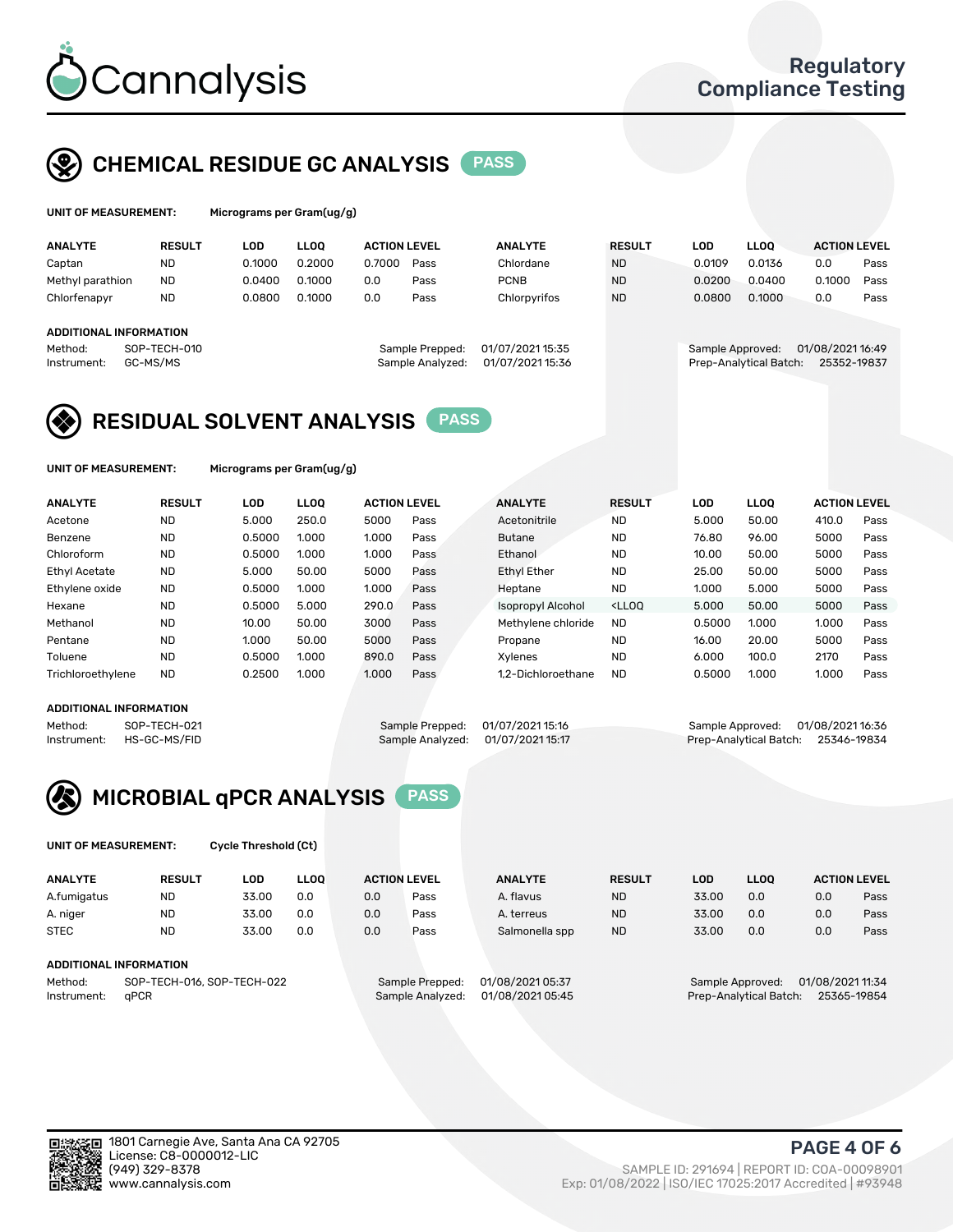

## CHEMICAL RESIDUE GC ANALYSIS PASS

| UNIT OF MEASUREMENT: | Micrograms per |
|----------------------|----------------|
|                      |                |

Gram(ug/g)

| <b>ANALYTE</b>                                   | <b>RESULT</b>            | LOD    | <b>LLOO</b> | <b>ACTION LEVEL</b> |                                     | <b>ANALYTE</b>                       | <b>RESULT</b> | LOD              | <b>LLOO</b>            | <b>ACTION LEVEL</b>             |      |
|--------------------------------------------------|--------------------------|--------|-------------|---------------------|-------------------------------------|--------------------------------------|---------------|------------------|------------------------|---------------------------------|------|
| Captan                                           | <b>ND</b>                | 0.1000 | 0.2000      | 0.7000              | Pass                                | Chlordane                            | <b>ND</b>     | 0.0109           | 0.0136                 | 0.0                             | Pass |
| Methyl parathion                                 | <b>ND</b>                | 0.0400 | 0.1000      | 0.0                 | Pass                                | <b>PCNB</b>                          | <b>ND</b>     | 0.0200           | 0.0400                 | 0.1000                          | Pass |
| Chlorfenapyr                                     | <b>ND</b>                | 0.0800 | 0.1000      | 0.0                 | Pass                                | Chlorpyrifos                         | <b>ND</b>     | 0.0800           | 0.1000                 | 0.0                             | Pass |
| ADDITIONAL INFORMATION<br>Method:<br>Instrument: | SOP-TECH-010<br>GC-MS/MS |        |             |                     | Sample Prepped:<br>Sample Analyzed: | 01/07/2021 15:35<br>01/07/2021 15:36 |               | Sample Approved: | Prep-Analytical Batch: | 01/08/2021 16:49<br>25352-19837 |      |

## RESIDUAL SOLVENT ANALYSIS PASS

UNIT OF MEASUREMENT: Micrograms per Gram(ug/g)

| <b>ANALYTE</b>    | <b>RESULT</b> | LOD    | <b>LLOO</b> | <b>ACTION LEVEL</b> |      | <b>ANALYTE</b>     | <b>RESULT</b>                                                               | LOD    | <b>LLOO</b> | <b>ACTION LEVEL</b> |      |
|-------------------|---------------|--------|-------------|---------------------|------|--------------------|-----------------------------------------------------------------------------|--------|-------------|---------------------|------|
| Acetone           | <b>ND</b>     | 5.000  | 250.0       | 5000                | Pass | Acetonitrile       | <b>ND</b>                                                                   | 5.000  | 50.00       | 410.0               | Pass |
| Benzene           | <b>ND</b>     | 0.5000 | 1.000       | 1.000               | Pass | <b>Butane</b>      | <b>ND</b>                                                                   | 76.80  | 96.00       | 5000                | Pass |
| Chloroform        | <b>ND</b>     | 0.5000 | 1.000       | 1.000               | Pass | Ethanol            | <b>ND</b>                                                                   | 10.00  | 50.00       | 5000                | Pass |
| Ethyl Acetate     | <b>ND</b>     | 5.000  | 50.00       | 5000                | Pass | <b>Ethyl Ether</b> | <b>ND</b>                                                                   | 25.00  | 50.00       | 5000                | Pass |
| Ethylene oxide    | <b>ND</b>     | 0.5000 | 1.000       | 1.000               | Pass | Heptane            | <b>ND</b>                                                                   | 1.000  | 5.000       | 5000                | Pass |
| Hexane            | <b>ND</b>     | 0.5000 | 5.000       | 290.0               | Pass | Isopropyl Alcohol  | <lloo< td=""><td>5.000</td><td>50.00</td><td>5000</td><td>Pass</td></lloo<> | 5.000  | 50.00       | 5000                | Pass |
| Methanol          | <b>ND</b>     | 10.00  | 50.00       | 3000                | Pass | Methylene chloride | <b>ND</b>                                                                   | 0.5000 | 1.000       | 1.000               | Pass |
| Pentane           | <b>ND</b>     | 1.000  | 50.00       | 5000                | Pass | Propane            | <b>ND</b>                                                                   | 16.00  | 20.00       | 5000                | Pass |
| Toluene           | <b>ND</b>     | 0.5000 | 1.000       | 890.0               | Pass | Xvlenes            | <b>ND</b>                                                                   | 6.000  | 100.0       | 2170                | Pass |
| Trichloroethylene | <b>ND</b>     | 0.2500 | 1.000       | 1.000               | Pass | 1.2-Dichloroethane | <b>ND</b>                                                                   | 0.5000 | 1.000       | 1.000               | Pass |
|                   |               |        |             |                     |      |                    |                                                                             |        |             |                     |      |

## ADDITIONAL INFORMATION

Method: SOP-TECH-021 Sample Prepped: 01/07/2021 15:16 Sample Approved: 01/08/2021 16:36<br>Instrument: HS-GC-MS/FID Sample Analyzed: 01/07/2021 15:17 Prep-Analytical Batch: 25346-19834 Prep-Analytical Batch: 25346-19834



UNIT OF MEASUREMENT: Cycle Threshold (Ct)

| <b>ANALYTE</b>                        | <b>RESULT</b>          | LOD   | <b>LLOO</b> | <b>ACTION LEVEL</b> |                  | <b>ANALYTE</b> | <b>RESULT</b> | <b>LOD</b> | <b>LLOO</b> |                  | <b>ACTION LEVEL</b> |
|---------------------------------------|------------------------|-------|-------------|---------------------|------------------|----------------|---------------|------------|-------------|------------------|---------------------|
| A.fumigatus                           | <b>ND</b>              | 33.00 | 0.0         | 0.0                 | Pass             | A. flavus      | <b>ND</b>     | 33.00      | 0.0         | 0.0              | Pass                |
| A. niger                              | <b>ND</b>              | 33.00 | 0.0         | 0.0                 | Pass             | A. terreus     | <b>ND</b>     | 33.00      | 0.0         | 0.0              | Pass                |
| <b>STEC</b>                           | <b>ND</b>              | 33.00 | 0.0         | 0.0                 | Pass             | Salmonella spp | <b>ND</b>     | 33.00      | 0.0         | 0.0              | Pass                |
|                                       | ADDITIONAL INFORMATION |       |             |                     |                  |                |               |            |             |                  |                     |
| SOP-TECH-016, SOP-TECH-022<br>Method: |                        |       |             | Sample Prepped:     | 01/08/2021 05:37 |                |               |            |             | 01/08/2021 11:34 |                     |

Instrument: qPCR Sample Analyzed: 01/08/2021 05:45 Prep-Analytical Batch: 25365-19854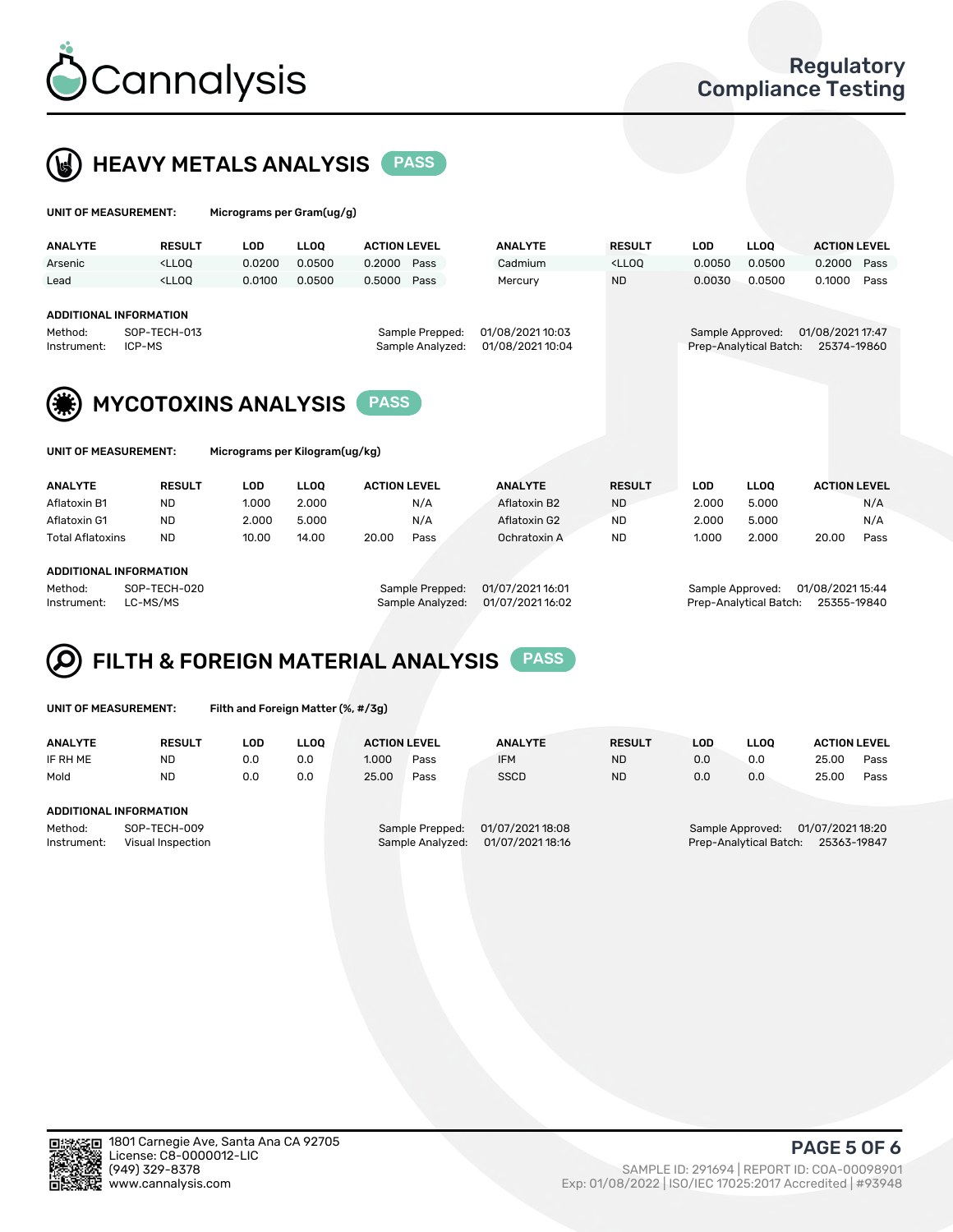

# HEAVY METALS ANALYSIS PASS

|  | UNIT OF MEASUREMENT: | Micrograms per Gram(ug/g) |
|--|----------------------|---------------------------|
|--|----------------------|---------------------------|

| <b>ANALYTE</b>         | <b>RESULT</b>                                                                                                                                                                        | LOD    | LLOO   | <b>ACTION LEVEL</b>                 | <b>ANALYTE</b>                     | <b>RESULT</b>                                                                    | LOD    | <b>LLOO</b>                                | <b>ACTION LEVEL</b>             |      |
|------------------------|--------------------------------------------------------------------------------------------------------------------------------------------------------------------------------------|--------|--------|-------------------------------------|------------------------------------|----------------------------------------------------------------------------------|--------|--------------------------------------------|---------------------------------|------|
| Arsenic                | <lloo< td=""><td>0.0200</td><td>0.0500</td><td>0.2000<br/>Pass</td><td>Cadmium</td><td><lloo< td=""><td>0.0050</td><td>0.0500</td><td>0.2000 Pass</td><td></td></lloo<></td></lloo<> | 0.0200 | 0.0500 | 0.2000<br>Pass                      | Cadmium                            | <lloo< td=""><td>0.0050</td><td>0.0500</td><td>0.2000 Pass</td><td></td></lloo<> | 0.0050 | 0.0500                                     | 0.2000 Pass                     |      |
| Lead                   | <lloo< td=""><td>0.0100</td><td>0.0500</td><td>0.5000<br/>Pass</td><td>Mercury</td><td><b>ND</b></td><td>0.0030</td><td>0.0500</td><td>0.1000</td><td>Pass</td></lloo<>              | 0.0100 | 0.0500 | 0.5000<br>Pass                      | Mercury                            | <b>ND</b>                                                                        | 0.0030 | 0.0500                                     | 0.1000                          | Pass |
|                        | ADDITIONAL INFORMATION                                                                                                                                                               |        |        |                                     |                                    |                                                                                  |        |                                            |                                 |      |
| Method:<br>Instrument: | SOP-TECH-013<br>ICP-MS                                                                                                                                                               |        |        | Sample Prepped:<br>Sample Analyzed: | 01/08/202110:03<br>01/08/202110:04 |                                                                                  |        | Sample Approved:<br>Prep-Analytical Batch: | 01/08/2021 17:47<br>25374-19860 |      |



| UNIT OF MEASUREMENT: |  |
|----------------------|--|
|----------------------|--|

Micrograms per Kilogram(ug/kg)

| <b>ANALYTE</b>          | <b>RESULT</b> | LOD   | <b>LLOO</b> | <b>ACTION LEVEL</b> |      | <b>ANALYTE</b> | <b>RESULT</b> | LOD   | <b>LLOO</b> | <b>ACTION LEVEL</b> |      |
|-------------------------|---------------|-------|-------------|---------------------|------|----------------|---------------|-------|-------------|---------------------|------|
| Aflatoxin B1            | <b>ND</b>     | 1.000 | 2.000       |                     | N/A  | Aflatoxin B2   | <b>ND</b>     | 2.000 | 5.000       |                     | N/A  |
| Aflatoxin G1            | <b>ND</b>     | 2.000 | 5.000       |                     | N/A  | Aflatoxin G2   | <b>ND</b>     | 2.000 | 5.000       |                     | N/A  |
| <b>Total Aflatoxins</b> | <b>ND</b>     | 10.00 | 14.00       | 20.00               | Pass | Ochratoxin A   | <b>ND</b>     | 1.000 | 2.000       | 20.00               | Pass |
|                         |               |       |             |                     |      |                |               |       |             |                     |      |

### ADDITIONAL INFORMATION

Method: SOP-TECH-020 Sample Prepped: 01/07/2021 16:01 Sample Approved: 01/08/2021 15:44 Instrument: LC-MS/MS Sample Analyzed: 01/07/2021 16:02 Prep-Analytical Batch: 25355-19840

# FILTH & FOREIGN MATERIAL ANALYSIS PASS

UNIT OF MEASUREMENT: Filth and Foreign Matter (%, #/3g)

| <b>ANALYTE</b>                   | <b>RESULT</b>                 | LOD. | <b>LLOO</b> | <b>ACTION LEVEL</b>                 |                  | <b>ANALYTE</b>   | <b>RESULT</b> | LOD                                   | <b>LLOO</b> | <b>ACTION LEVEL</b> |      |
|----------------------------------|-------------------------------|------|-------------|-------------------------------------|------------------|------------------|---------------|---------------------------------------|-------------|---------------------|------|
| IF RH ME                         | <b>ND</b>                     | 0.0  | 0.0         | 1.000                               | Pass             | <b>IFM</b>       | <b>ND</b>     | 0.0                                   | 0.0         | 25.00               | Pass |
| Mold                             | <b>ND</b>                     | 0.0  | 0.0         | 25.00                               | Pass             | <b>SSCD</b>      | <b>ND</b>     | 0.0                                   | 0.0         | 25.00               | Pass |
|                                  | <b>ADDITIONAL INFORMATION</b> |      |             |                                     |                  |                  |               |                                       |             |                     |      |
| Method:                          | SOP-TECH-009                  |      |             | 01/07/2021 18:08<br>Sample Prepped: |                  |                  |               | 01/07/2021 18:20<br>Sample Approved:  |             |                     |      |
| Instrument:<br>Visual Inspection |                               |      |             |                                     | Sample Analyzed: | 01/07/2021 18:16 |               | Prep-Analytical Batch:<br>25363-19847 |             |                     |      |